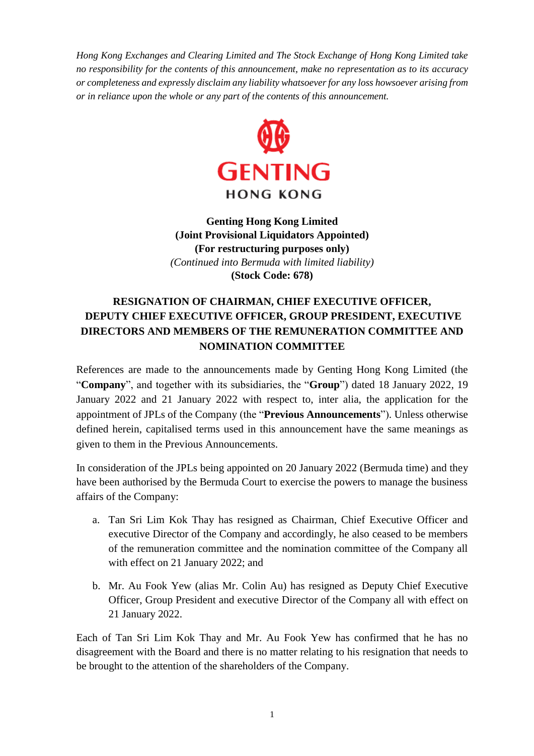*Hong Kong Exchanges and Clearing Limited and The Stock Exchange of Hong Kong Limited take no responsibility for the contents of this announcement, make no representation as to its accuracy or completeness and expressly disclaim any liability whatsoever for any loss howsoever arising from or in reliance upon the whole or any part of the contents of this announcement.*



**Genting Hong Kong Limited (Joint Provisional Liquidators Appointed) (For restructuring purposes only)** *(Continued into Bermuda with limited liability)* **(Stock Code: 678)**

## **RESIGNATION OF CHAIRMAN, CHIEF EXECUTIVE OFFICER, DEPUTY CHIEF EXECUTIVE OFFICER, GROUP PRESIDENT, EXECUTIVE DIRECTORS AND MEMBERS OF THE REMUNERATION COMMITTEE AND NOMINATION COMMITTEE**

References are made to the announcements made by Genting Hong Kong Limited (the "**Company**", and together with its subsidiaries, the "**Group**") dated 18 January 2022, 19 January 2022 and 21 January 2022 with respect to, inter alia, the application for the appointment of JPLs of the Company (the "**Previous Announcements**"). Unless otherwise defined herein, capitalised terms used in this announcement have the same meanings as given to them in the Previous Announcements.

In consideration of the JPLs being appointed on 20 January 2022 (Bermuda time) and they have been authorised by the Bermuda Court to exercise the powers to manage the business affairs of the Company:

- a. Tan Sri Lim Kok Thay has resigned as Chairman, Chief Executive Officer and executive Director of the Company and accordingly, he also ceased to be members of the remuneration committee and the nomination committee of the Company all with effect on 21 January 2022; and
- b. Mr. Au Fook Yew (alias Mr. Colin Au) has resigned as Deputy Chief Executive Officer, Group President and executive Director of the Company all with effect on 21 January 2022.

Each of Tan Sri Lim Kok Thay and Mr. Au Fook Yew has confirmed that he has no disagreement with the Board and there is no matter relating to his resignation that needs to be brought to the attention of the shareholders of the Company.